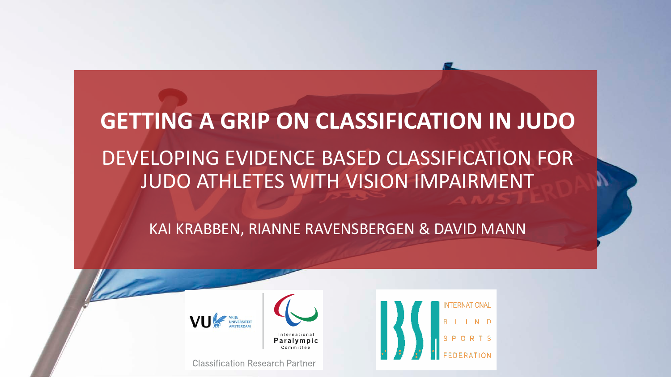# **GETTING A GRIP ON CLASSIFICATION IN JUDO** DEVELOPING EVIDENCE BASED CLASSIFICATION FOR JUDO ATHLETES WITH VISION IMPAIRMENT

KAI KRABBEN, RIANNE RAVENSBERGEN & DAVID MANN





**Classification Research Partner**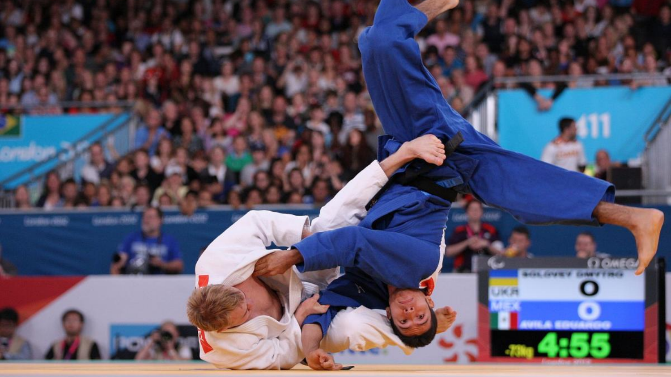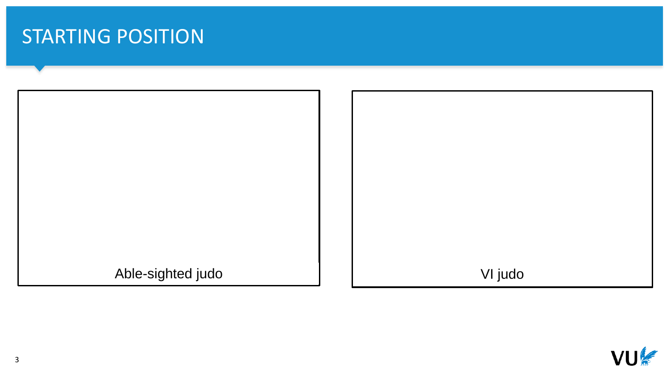### CTARTING DI SIANTINU FUS STARTING POSITION

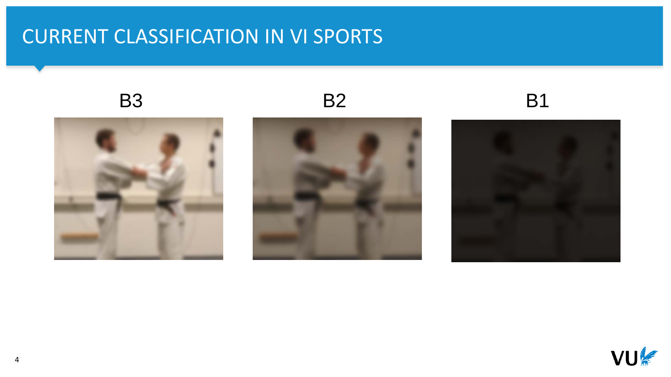### CLIDDENT CL CUMNENT CLAS CURRENT CLASSIFICATION IN VI SPORTS









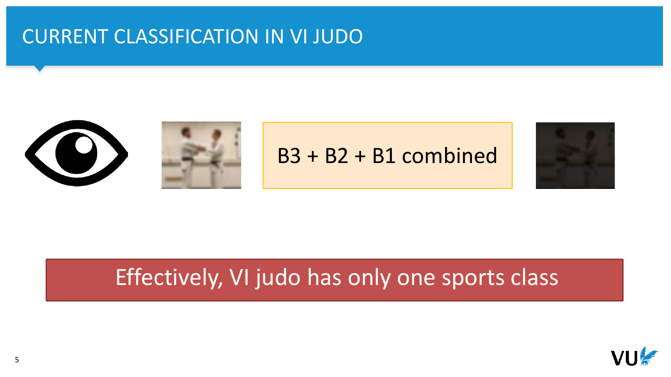### CLIDDENT CL CUMNENT CLAS CURRENT CLASSIFICATION IN VI JUDO





## $B3 + B2 + B1$  combined



## Effectively, VI judo has only one sports class

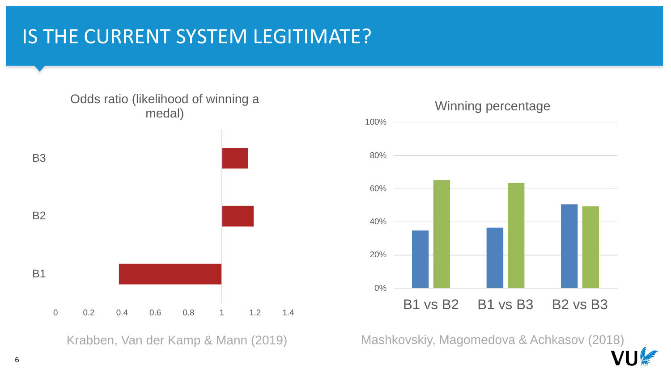### IS THE CLIDE IS THE COMMEN IS THE CURRENT SYSTEM LEGITIMATE?

#### Odds ratio (likelihood of winning a medal)



Krabben, Van der Kamp & Mann (2019)



Mashkovskiy, Magomedova & Achkasov (2018)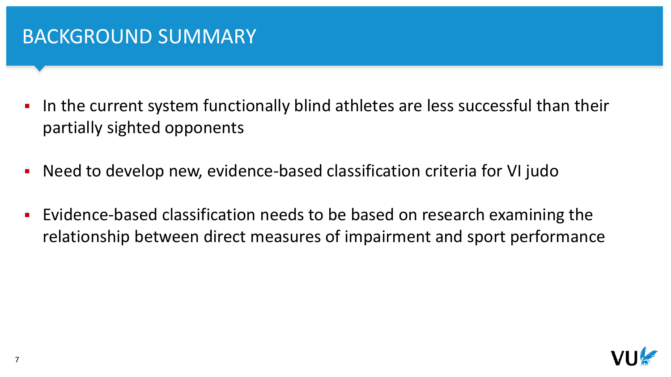### RACKCROLIN DACKUNUUIND BACKGROUND SUMMARY

- In the current system functionally blind athletes are less successful than their partially sighted opponents
- Need to develop new, evidence-based classification criteria for VI judo
- Evidence-based classification needs to be based on research examining the relationship between direct measures of impairment and sport performance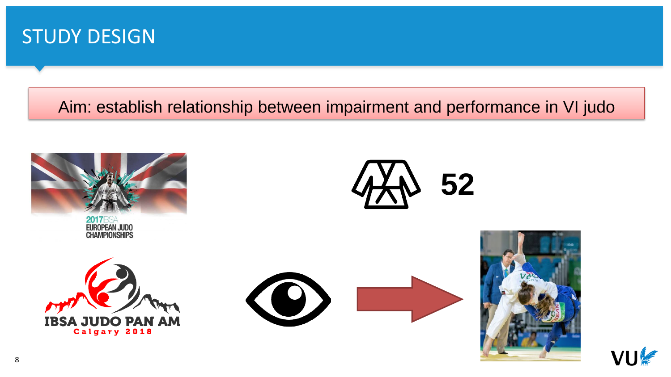

### Aim: establish relationship between impairment and performance in VI judo









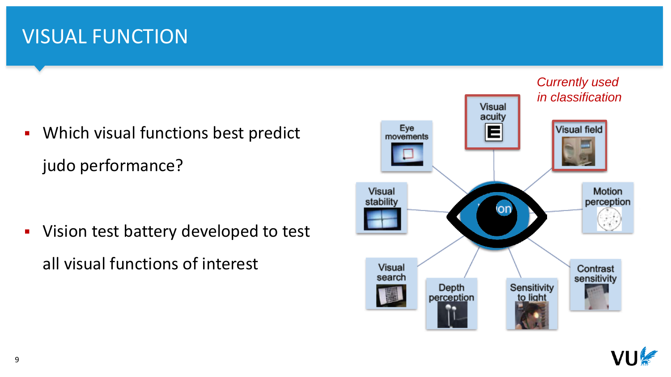#### Sensitivity Depth perception to light

**Visual** acuity

E

ion

Eye<br>movements

Visual

stability

Visual

search



*Currently used*

*in classification*

Visual field

**Which visual functions best predict** judo performance?

**• Vision test battery developed to test** all visual functions of interest

**TERRIT SERVICE SERVICE SERVICE S** VIJUAL I UNUT VISUAL FUNCTION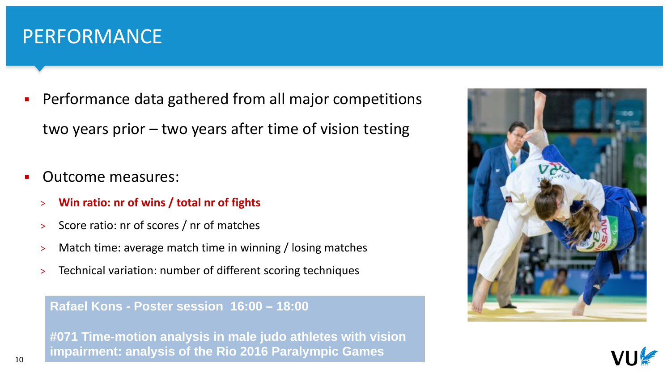### DEREORNAN FENI UNIVIANU PERFORMANCE

- Performance data gathered from all major competitions two years prior – two years after time of vision testing
- Outcome measures:
	- > **Win ratio: nr of wins / total nr of fights**
	- > Score ratio: nr of scores / nr of matches
	- > Match time: average match time in winning / losing matches
	- > Technical variation: number of different scoring techniques

**Rafael Kons - Poster session 16:00 – 18:00** 

**#071 Time-motion analysis in male judo athletes with vision impairment: analysis of the Rio 2016 Paralympic Games** 

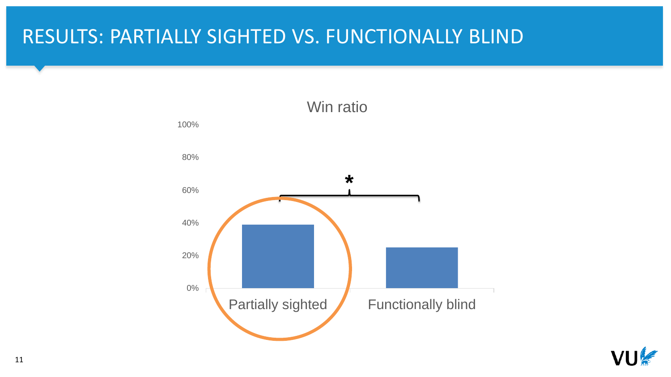### DECITITS · DA NLJULIJ, FANT RESULTS: PARTIALLY SIGHTED VS. FUNCTIONALLY BLIND

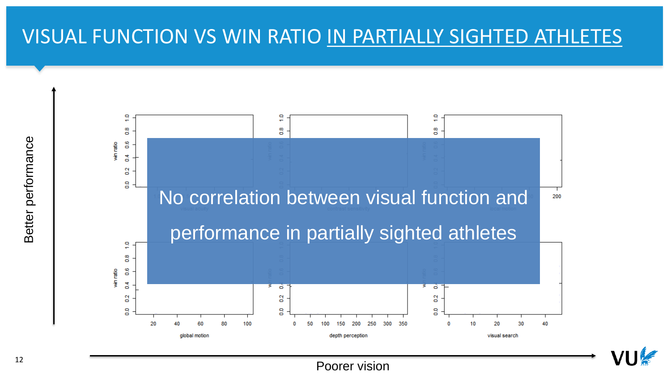### **TERRIT SERVICE SERVICE SERVICE S** VIJUAL I UNUT VISUAL FUNCTION VS WIN RATIO IN PARTIALLY SIGHTED ATHLETES



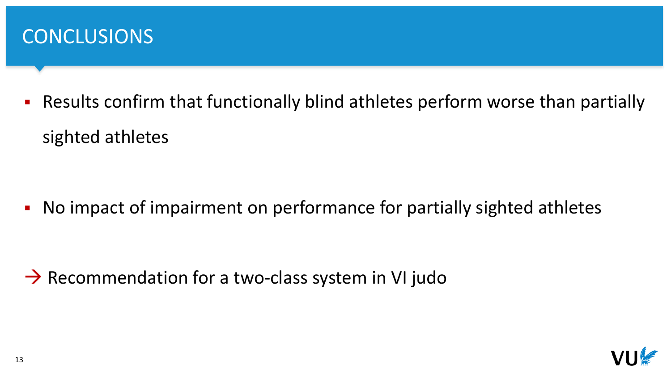

 Results confirm that functionally blind athletes perform worse than partially sighted athletes

• No impact of impairment on performance for partially sighted athletes

 $\rightarrow$  Recommendation for a two-class system in VI judo

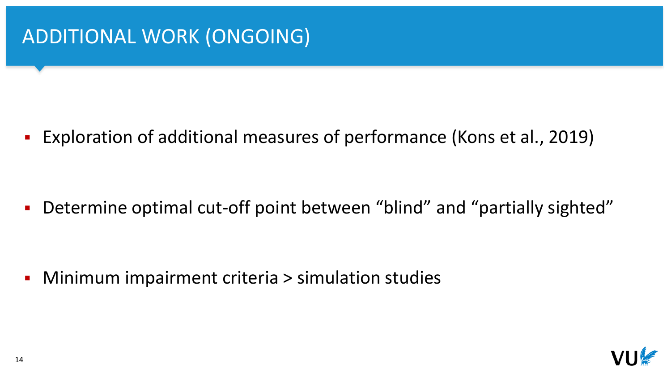### ADDITIONAL ADDITIONAL V ADDITIONAL WORK (ONGOING)

Exploration of additional measures of performance (Kons et al., 2019)

Determine optimal cut-off point between "blind" and "partially sighted"

**Ninimum impairment criteria > simulation studies** 

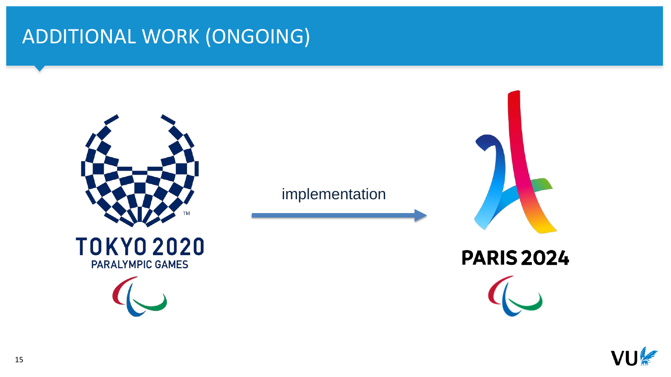### ADDITIONAL ADDITIONAL V ADDITIONAL WORK (ONGOING)